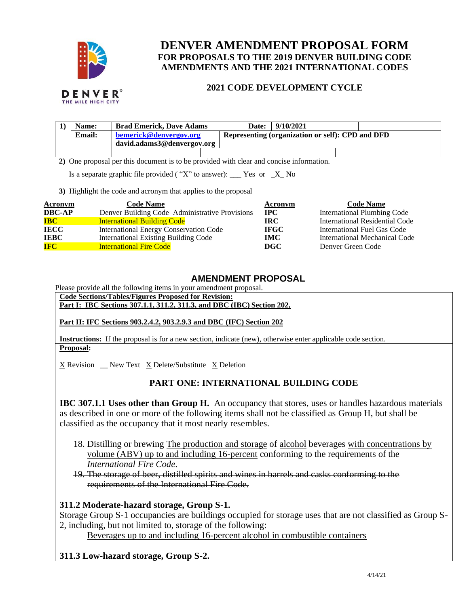

# **DENVER AMENDMENT PROPOSAL FORM FOR PROPOSALS TO THE 2019 DENVER BUILDING CODE AMENDMENTS AND THE 2021 INTERNATIONAL CODES**

#### **2021 CODE DEVELOPMENT CYCLE**

|                                                                                         | Name:         | <b>Brad Emerick, Dave Adams</b>                      |  |  | Date: | 9/10/2021                                        |  |
|-----------------------------------------------------------------------------------------|---------------|------------------------------------------------------|--|--|-------|--------------------------------------------------|--|
|                                                                                         | <b>Email:</b> | bemerick@denvergov.org<br>david.adams3@denvergov.org |  |  |       | Representing (organization or self): CPD and DFD |  |
|                                                                                         |               |                                                      |  |  |       |                                                  |  |
|                                                                                         |               |                                                      |  |  |       |                                                  |  |
| 2) One proposal per this document is to be provided with clear and concise information. |               |                                                      |  |  |       |                                                  |  |

Is a separate graphic file provided ("X" to answer): \_\_\_ Yes or  $X_N$  No

**3)** Highlight the code and acronym that applies to the proposal

| <b>Acronym</b> | <b>Code Name</b>                               | Acronym     | <b>Code Name</b>                   |
|----------------|------------------------------------------------|-------------|------------------------------------|
| <b>DBC-AP</b>  | Denver Building Code–Administrative Provisions | <b>IPC</b>  | <b>International Plumbing Code</b> |
| <b>IBC</b>     | <b>International Building Code</b>             | IRC.        | International Residential Code     |
| <b>IECC</b>    | International Energy Conservation Code         | <b>IFGC</b> | International Fuel Gas Code        |
| <b>IEBC</b>    | <b>International Existing Building Code</b>    | <b>IMC</b>  | International Mechanical Code      |
| <b>IFC</b>     | <b>International Fire Code</b>                 | DGC         | Denver Green Code                  |

## **AMENDMENT PROPOSAL**

Please provide all the following items in your amendment proposal.

**Code Sections/Tables/Figures Proposed for Revision: Part I: IBC Sections 307.1.1, 311.2, 311.3, and DBC (IBC) Section 202,**

**Part II: IFC Sections 903.2.4.2, 903.2.9.3 and DBC (IFC) Section 202**

**Instructions:** If the proposal is for a new section, indicate (new), otherwise enter applicable code section. **Proposal:**

X Revision \_\_ New Text X Delete/Substitute X Deletion

## **PART ONE: INTERNATIONAL BUILDING CODE**

**IBC 307.1.1 Uses other than Group H.** An occupancy that stores, uses or handles hazardous materials as described in one or more of the following items shall not be classified as Group H, but shall be classified as the occupancy that it most nearly resembles.

- 18. Distilling or brewing The production and storage of alcohol beverages with concentrations by volume (ABV) up to and including 16-percent conforming to the requirements of the *International Fire Code*.
- 19. The storage of beer, distilled spirits and wines in barrels and casks conforming to the requirements of the International Fire Code.

## **311.2 Moderate-hazard storage, Group S-1.**

Storage Group S-1 occupancies are buildings occupied for storage uses that are not classified as Group S-2, including, but not limited to, storage of the following:

Beverages up to and including 16-percent alcohol in combustible containers

## **311.3 Low-hazard storage, Group S-2.**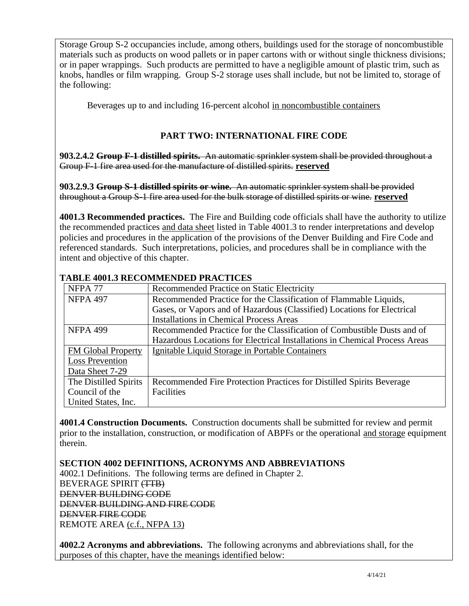Storage Group S-2 occupancies include, among others, buildings used for the storage of noncombustible materials such as products on wood pallets or in paper cartons with or without single thickness divisions; or in paper wrappings. Such products are permitted to have a negligible amount of plastic trim, such as knobs, handles or film wrapping. Group S-2 storage uses shall include, but not be limited to, storage of the following:

Beverages up to and including 16-percent alcohol in noncombustible containers

## **PART TWO: INTERNATIONAL FIRE CODE**

**903.2.4.2 Group F-1 distilled spirits.** An automatic sprinkler system shall be provided throughout a Group F-1 fire area used for the manufacture of distilled spirits. **reserved**

**903.2.9.3 Group S-1 distilled spirits or wine.** An automatic sprinkler system shall be provided throughout a Group S-1 fire area used for the bulk storage of distilled spirits or wine. **reserved**

**4001.3 Recommended practices.** The Fire and Building code officials shall have the authority to utilize the recommended practices and data sheet listed in Table 4001.3 to render interpretations and develop policies and procedures in the application of the provisions of the Denver Building and Fire Code and referenced standards. Such interpretations, policies, and procedures shall be in compliance with the intent and objective of this chapter.

| NFPA <sub>77</sub>        | Recommended Practice on Static Electricity                                 |  |  |  |
|---------------------------|----------------------------------------------------------------------------|--|--|--|
| <b>NFPA 497</b>           | Recommended Practice for the Classification of Flammable Liquids,          |  |  |  |
|                           | Gases, or Vapors and of Hazardous (Classified) Locations for Electrical    |  |  |  |
|                           | <b>Installations in Chemical Process Areas</b>                             |  |  |  |
| <b>NFPA 499</b>           | Recommended Practice for the Classification of Combustible Dusts and of    |  |  |  |
|                           | Hazardous Locations for Electrical Installations in Chemical Process Areas |  |  |  |
| <b>FM Global Property</b> | Ignitable Liquid Storage in Portable Containers                            |  |  |  |
| <b>Loss Prevention</b>    |                                                                            |  |  |  |
| Data Sheet 7-29           |                                                                            |  |  |  |
| The Distilled Spirits     | Recommended Fire Protection Practices for Distilled Spirits Beverage       |  |  |  |
| Council of the            | Facilities                                                                 |  |  |  |
| United States, Inc.       |                                                                            |  |  |  |

#### **TABLE 4001.3 RECOMMENDED PRACTICES**

**4001.4 Construction Documents.** Construction documents shall be submitted for review and permit prior to the installation, construction, or modification of ABPFs or the operational and storage equipment therein.

**SECTION 4002 DEFINITIONS, ACRONYMS AND ABBREVIATIONS**

4002.1 Definitions. The following terms are defined in Chapter 2. BEVERAGE SPIRIT (TTB) DENVER BUILDING CODE DENVER BUILDING AND FIRE CODE DENVER FIRE CODE REMOTE AREA (c.f., NFPA 13)

**4002.2 Acronyms and abbreviations.** The following acronyms and abbreviations shall, for the purposes of this chapter, have the meanings identified below: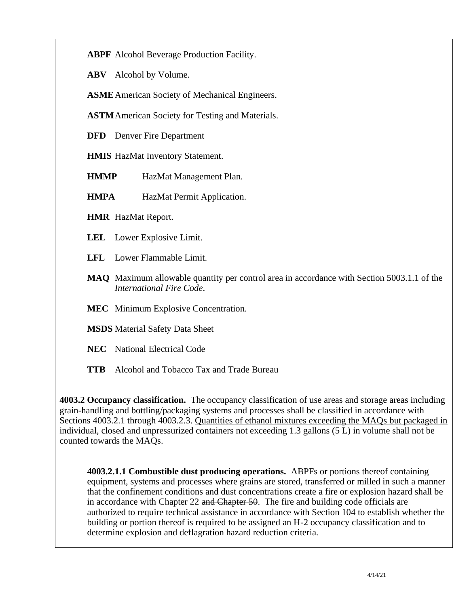**ABPF** Alcohol Beverage Production Facility.

**ABV** Alcohol by Volume.

**ASME**American Society of Mechanical Engineers.

**ASTM**American Society for Testing and Materials.

**DFD** Denver Fire Department

**HMIS** HazMat Inventory Statement.

**HMMP** HazMat Management Plan.

**HMPA** HazMat Permit Application.

**HMR** HazMat Report.

**LEL** Lower Explosive Limit.

**LFL** Lower Flammable Limit.

- **MAQ** Maximum allowable quantity per control area in accordance with Section 5003.1.1 of the *International Fire Code*.
- **MEC** Minimum Explosive Concentration.

**MSDS** Material Safety Data Sheet

**NEC** National Electrical Code

**TTB** Alcohol and Tobacco Tax and Trade Bureau

**4003.2 Occupancy classification.** The occupancy classification of use areas and storage areas including grain-handling and bottling/packaging systems and processes shall be classified in accordance with Sections 4003.2.1 through 4003.2.3. Quantities of ethanol mixtures exceeding the MAQs but packaged in individual, closed and unpressurized containers not exceeding 1.3 gallons (5 L) in volume shall not be counted towards the MAQs.

**4003.2.1.1 Combustible dust producing operations.** ABPFs or portions thereof containing equipment, systems and processes where grains are stored, transferred or milled in such a manner that the confinement conditions and dust concentrations create a fire or explosion hazard shall be in accordance with Chapter 22 and Chapter 50. The fire and building code officials are authorized to require technical assistance in accordance with Section 104 to establish whether the building or portion thereof is required to be assigned an H-2 occupancy classification and to determine explosion and deflagration hazard reduction criteria.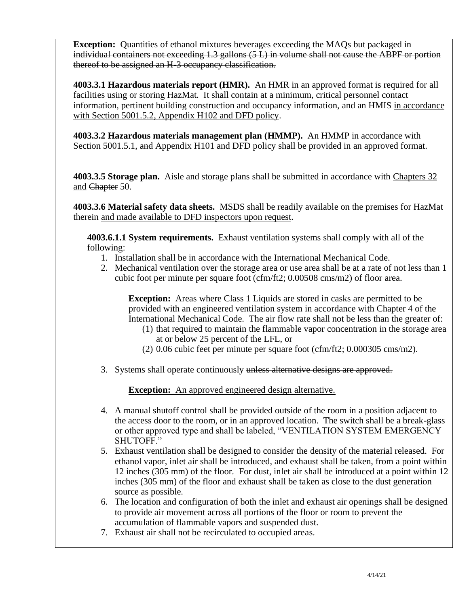**Exception:** Quantities of ethanol mixtures beverages exceeding the MAQs but packaged in individual containers not exceeding 1.3 gallons (5 L) in volume shall not cause the ABPF or portion thereof to be assigned an H-3 occupancy classification.

**4003.3.1 Hazardous materials report (HMR).** An HMR in an approved format is required for all facilities using or storing HazMat. It shall contain at a minimum, critical personnel contact information, pertinent building construction and occupancy information, and an HMIS in accordance with Section 5001.5.2, Appendix H102 and DFD policy.

**4003.3.2 Hazardous materials management plan (HMMP).** An HMMP in accordance with Section 5001.5.1, and Appendix H101 and DFD policy shall be provided in an approved format.

**4003.3.5 Storage plan.** Aisle and storage plans shall be submitted in accordance with Chapters 32 and Chapter 50.

**4003.3.6 Material safety data sheets.** MSDS shall be readily available on the premises for HazMat therein and made available to DFD inspectors upon request.

**4003.6.1.1 System requirements.** Exhaust ventilation systems shall comply with all of the following:

- 1. Installation shall be in accordance with the International Mechanical Code.
- 2. Mechanical ventilation over the storage area or use area shall be at a rate of not less than 1 cubic foot per minute per square foot (cfm/ft2; 0.00508 cms/m2) of floor area.

**Exception:** Areas where Class 1 Liquids are stored in casks are permitted to be provided with an engineered ventilation system in accordance with Chapter 4 of the International Mechanical Code. The air flow rate shall not be less than the greater of:

- (1) that required to maintain the flammable vapor concentration in the storage area at or below 25 percent of the LFL, or
- (2) 0.06 cubic feet per minute per square foot (cfm/ft2; 0.000305 cms/m2).
- 3. Systems shall operate continuously unless alternative designs are approved.

**Exception:** An approved engineered design alternative.

- 4. A manual shutoff control shall be provided outside of the room in a position adjacent to the access door to the room, or in an approved location. The switch shall be a break-glass or other approved type and shall be labeled, "VENTILATION SYSTEM EMERGENCY SHUTOFF."
- 5. Exhaust ventilation shall be designed to consider the density of the material released. For ethanol vapor, inlet air shall be introduced, and exhaust shall be taken, from a point within 12 inches (305 mm) of the floor. For dust, inlet air shall be introduced at a point within 12 inches (305 mm) of the floor and exhaust shall be taken as close to the dust generation source as possible.
- 6. The location and configuration of both the inlet and exhaust air openings shall be designed to provide air movement across all portions of the floor or room to prevent the accumulation of flammable vapors and suspended dust.
- 7. Exhaust air shall not be recirculated to occupied areas.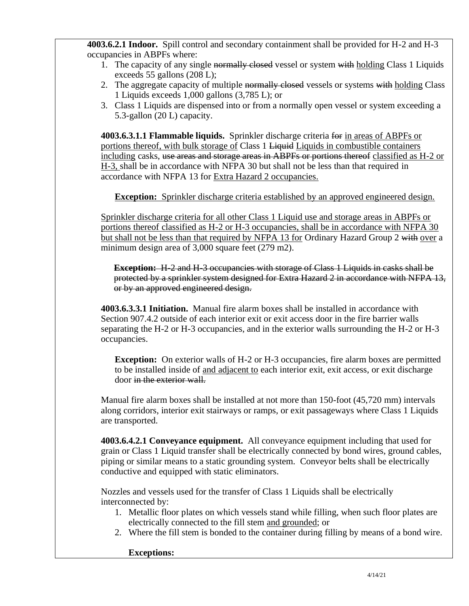**4003.6.2.1 Indoor.** Spill control and secondary containment shall be provided for H-2 and H-3 occupancies in ABPFs where:

- 1. The capacity of any single normally closed vessel or system with holding Class 1 Liquids exceeds 55 gallons (208 L);
- 2. The aggregate capacity of multiple normally closed vessels or systems with holding Class 1 Liquids exceeds 1,000 gallons (3,785 L); or
- 3. Class 1 Liquids are dispensed into or from a normally open vessel or system exceeding a 5.3-gallon (20 L) capacity.

**4003.6.3.1.1 Flammable liquids.** Sprinkler discharge criteria for in areas of ABPFs or portions thereof, with bulk storage of Class 1 <del>Liquid</del> Liquids in combustible containers including casks, use areas and storage areas in ABPFs or portions thereof classified as H-2 or H-3, shall be in accordance with NFPA 30 but shall not be less than that required in accordance with NFPA 13 for Extra Hazard 2 occupancies.

**Exception:** Sprinkler discharge criteria established by an approved engineered design.

Sprinkler discharge criteria for all other Class 1 Liquid use and storage areas in ABPFs or portions thereof classified as H-2 or H-3 occupancies, shall be in accordance with NFPA 30 but shall not be less than that required by NFPA 13 for Ordinary Hazard Group 2 with over a minimum design area of 3,000 square feet (279 m2).

**Exception:** H-2 and H-3 occupancies with storage of Class 1 Liquids in casks shall be protected by a sprinkler system designed for Extra Hazard 2 in accordance with NFPA 13, or by an approved engineered design.

**4003.6.3.3.1 Initiation.** Manual fire alarm boxes shall be installed in accordance with Section 907.4.2 outside of each interior exit or exit access door in the fire barrier walls separating the H-2 or H-3 occupancies, and in the exterior walls surrounding the H-2 or H-3 occupancies.

**Exception:** On exterior walls of H-2 or H-3 occupancies, fire alarm boxes are permitted to be installed inside of and adjacent to each interior exit, exit access, or exit discharge door in the exterior wall.

Manual fire alarm boxes shall be installed at not more than 150-foot (45,720 mm) intervals along corridors, interior exit stairways or ramps, or exit passageways where Class 1 Liquids are transported.

**4003.6.4.2.1 Conveyance equipment.** All conveyance equipment including that used for grain or Class 1 Liquid transfer shall be electrically connected by bond wires, ground cables, piping or similar means to a static grounding system. Conveyor belts shall be electrically conductive and equipped with static eliminators.

Nozzles and vessels used for the transfer of Class 1 Liquids shall be electrically interconnected by:

- 1. Metallic floor plates on which vessels stand while filling, when such floor plates are electrically connected to the fill stem and grounded; or
- 2. Where the fill stem is bonded to the container during filling by means of a bond wire.

## **Exceptions:**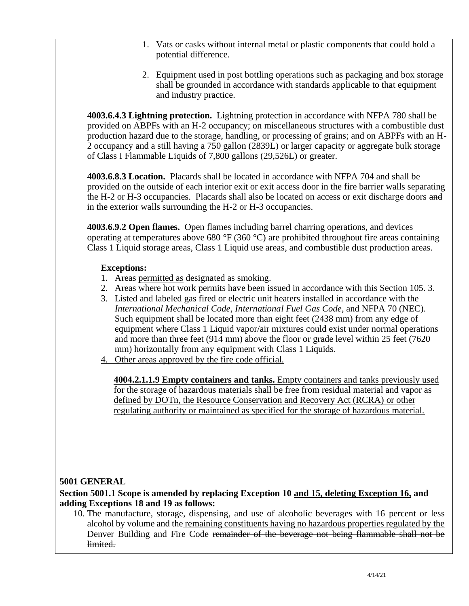- 1. Vats or casks without internal metal or plastic components that could hold a potential difference.
- 2. Equipment used in post bottling operations such as packaging and box storage shall be grounded in accordance with standards applicable to that equipment and industry practice.

**4003.6.4.3 Lightning protection.** Lightning protection in accordance with NFPA 780 shall be provided on ABPFs with an H-2 occupancy; on miscellaneous structures with a combustible dust production hazard due to the storage, handling, or processing of grains; and on ABPFs with an H-2 occupancy and a still having a 750 gallon (2839L) or larger capacity or aggregate bulk storage of Class I Flammable Liquids of 7,800 gallons (29,526L) or greater.

**4003.6.8.3 Location.** Placards shall be located in accordance with NFPA 704 and shall be provided on the outside of each interior exit or exit access door in the fire barrier walls separating the H-2 or H-3 occupancies. Placards shall also be located on access or exit discharge doors and in the exterior walls surrounding the H-2 or H-3 occupancies.

**4003.6.9.2 Open flames.** Open flames including barrel charring operations, and devices operating at temperatures above 680 °F (360 °C) are prohibited throughout fire areas containing Class 1 Liquid storage areas, Class 1 Liquid use areas, and combustible dust production areas.

## **Exceptions:**

- 1. Areas permitted as designated as smoking.
- 2. Areas where hot work permits have been issued in accordance with this Section 105. 3.
- 3. Listed and labeled gas fired or electric unit heaters installed in accordance with the *International Mechanical Code*, *International Fuel Gas Code*, and NFPA 70 (NEC). Such equipment shall be located more than eight feet (2438 mm) from any edge of equipment where Class 1 Liquid vapor/air mixtures could exist under normal operations and more than three feet (914 mm) above the floor or grade level within 25 feet (7620 mm) horizontally from any equipment with Class 1 Liquids.
- 4. Other areas approved by the fire code official.

**4004.2.1.1.9 Empty containers and tanks.** Empty containers and tanks previously used for the storage of hazardous materials shall be free from residual material and vapor as defined by DOTn, the Resource Conservation and Recovery Act (RCRA) or other regulating authority or maintained as specified for the storage of hazardous material.

## **5001 GENERAL**

## **Section 5001.1 Scope is amended by replacing Exception 10 and 15, deleting Exception 16, and adding Exceptions 18 and 19 as follows:**

10. The manufacture, storage, dispensing, and use of alcoholic beverages with 16 percent or less alcohol by volume and the remaining constituents having no hazardous properties regulated by the Denver Building and Fire Code remainder of the beverage not being flammable shall not be limited.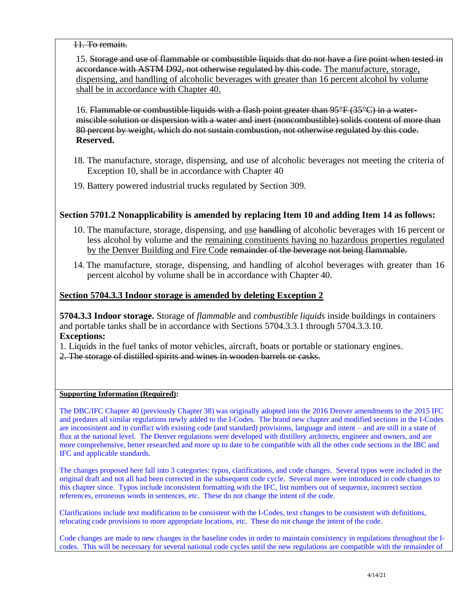#### 11. To remain.

15. Storage and use of flammable or combustible liquids that do not have a fire point when tested in accordance with ASTM D92, not otherwise regulated by this code. The manufacture, storage, dispensing, and handling of alcoholic beverages with greater than 16 percent alcohol by volume shall be in accordance with Chapter 40.

16. Flammable or combustible liquids with a flash point greater than 95°F (35°C) in a watermiscible solution or dispersion with a water and inert (noncombustible) solids content of more than 80 percent by weight, which do not sustain combustion, not otherwise regulated by this code. **Reserved.**

- 18. The manufacture, storage, dispensing, and use of alcoholic beverages not meeting the criteria of Exception 10, shall be in accordance with Chapter 40
- 19. Battery powered industrial trucks regulated by Section 309.

#### **Section 5701.2 Nonapplicability is amended by replacing Item 10 and adding Item 14 as follows:**

- 10. The manufacture, storage, dispensing, and use handling of alcoholic beverages with 16 percent or less alcohol by volume and the remaining constituents having no hazardous properties regulated by the Denver Building and Fire Code remainder of the beverage not being flammable.
- 14. The manufacture, storage, dispensing, and handling of alcohol beverages with greater than 16 percent alcohol by volume shall be in accordance with Chapter 40.

#### **Section 5704.3.3 Indoor storage is amended by deleting Exception 2**

**5704.3.3 Indoor storage.** Storage of *flammable* and *combustible liquids* inside buildings in containers and portable tanks shall be in accordance with Sections 5704.3.3.1 through 5704.3.3.10. **Exceptions:** 

1. Liquids in the fuel tanks of motor vehicles, aircraft, boats or portable or stationary engines.

2. The storage of distilled spirits and wines in wooden barrels or casks.

#### **Supporting Information (Required):**

The DBC/IFC Chapter 40 (previously Chapter 38) was originally adopted into the 2016 Denver amendments to the 2015 IFC and predates all similar regulations newly added to the I-Codes. The brand new chapter and modified sections in the I-Codes are inconsistent and in conflict with existing code (and standard) provisions, language and intent – and are still in a state of flux at the national level. The Denver regulations were developed with distillery architects, engineer and owners, and are more comprehensive, better researched and more up to date to be compatible with all the other code sections in the IBC and IFC and applicable standards.

The changes proposed here fall into 3 categories: typos, clarifications, and code changes. Several typos were included in the original draft and not all had been corrected in the subsequent code cycle. Several more were introduced in code changes to this chapter since. Typos include inconsistent formatting with the IFC, list numbers out of sequence, incorrect section references, erroneous words in sentences, etc. These do not change the intent of the code.

Clarifications include text modification to be consistent with the I-Codes, text changes to be consistent with definitions, relocating code provisions to more appropriate locations, etc. These do not change the intent of the code.

Code changes are made to new changes in the baseline codes in order to maintain consistency in regulations throughout the Icodes. This will be necessary for several national code cycles until the new regulations are compatible with the remainder of